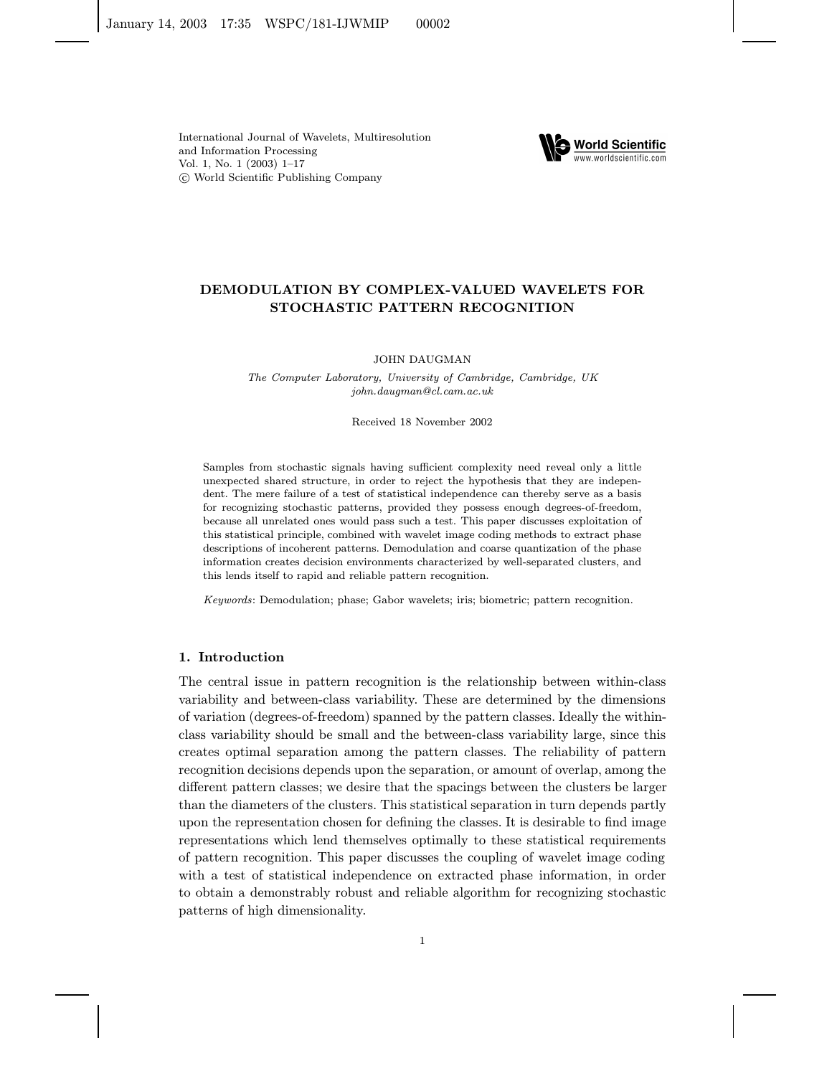International Journal of Wavelets, Multiresolution and Information Processing Vol. 1, No. 1 (2003) 1–17 c World Scientific Publishing Company



# DEMODULATION BY COMPLEX-VALUED WAVELETS FOR STOCHASTIC PATTERN RECOGNITION

JOHN DAUGMAN

The Computer Laboratory, University of Cambridge, Cambridge, UK john.daugman@cl.cam.ac.uk

Received 18 November 2002

Samples from stochastic signals having sufficient complexity need reveal only a little unexpected shared structure, in order to reject the hypothesis that they are independent. The mere failure of a test of statistical independence can thereby serve as a basis for recognizing stochastic patterns, provided they possess enough degrees-of-freedom, because all unrelated ones would pass such a test. This paper discusses exploitation of this statistical principle, combined with wavelet image coding methods to extract phase descriptions of incoherent patterns. Demodulation and coarse quantization of the phase information creates decision environments characterized by well-separated clusters, and this lends itself to rapid and reliable pattern recognition.

Keywords: Demodulation; phase; Gabor wavelets; iris; biometric; pattern recognition.

### 1. Introduction

The central issue in pattern recognition is the relationship between within-class variability and between-class variability. These are determined by the dimensions of variation (degrees-of-freedom) spanned by the pattern classes. Ideally the withinclass variability should be small and the between-class variability large, since this creates optimal separation among the pattern classes. The reliability of pattern recognition decisions depends upon the separation, or amount of overlap, among the different pattern classes; we desire that the spacings between the clusters be larger than the diameters of the clusters. This statistical separation in turn depends partly upon the representation chosen for defining the classes. It is desirable to find image representations which lend themselves optimally to these statistical requirements of pattern recognition. This paper discusses the coupling of wavelet image coding with a test of statistical independence on extracted phase information, in order to obtain a demonstrably robust and reliable algorithm for recognizing stochastic patterns of high dimensionality.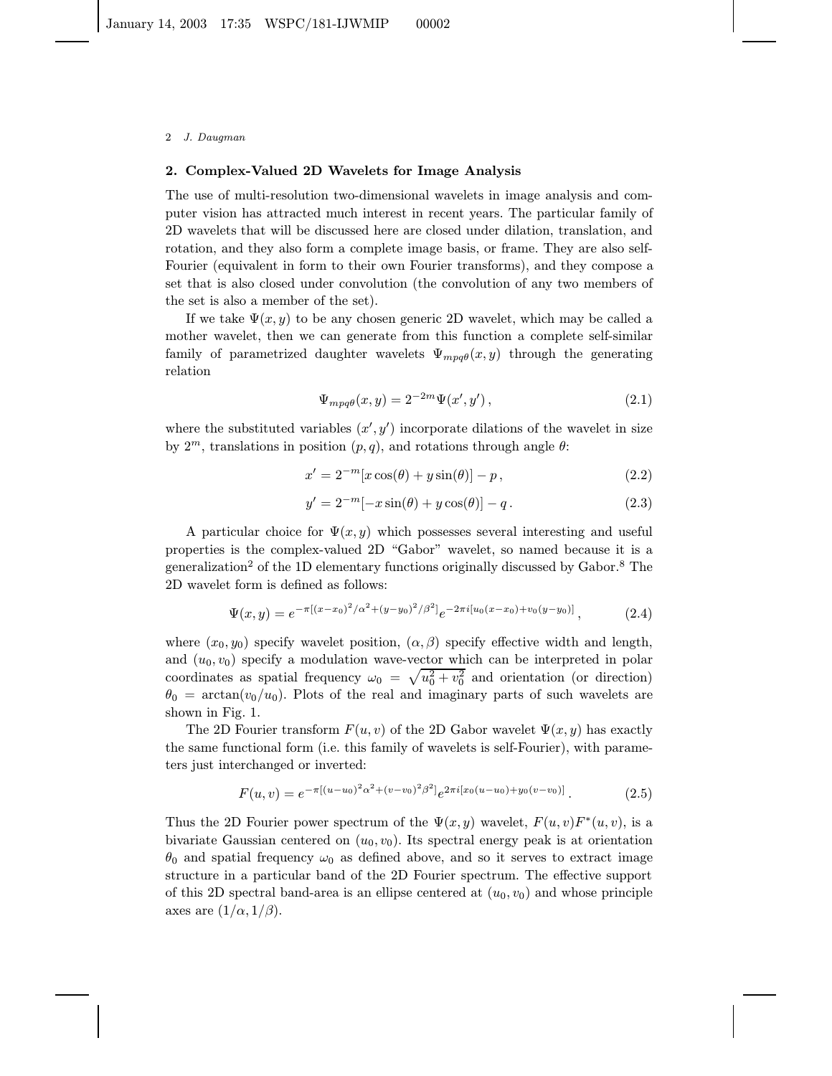### 2. Complex-Valued 2D Wavelets for Image Analysis

The use of multi-resolution two-dimensional wavelets in image analysis and computer vision has attracted much interest in recent years. The particular family of 2D wavelets that will be discussed here are closed under dilation, translation, and rotation, and they also form a complete image basis, or frame. They are also self-Fourier (equivalent in form to their own Fourier transforms), and they compose a set that is also closed under convolution (the convolution of any two members of the set is also a member of the set).

If we take  $\Psi(x, y)$  to be any chosen generic 2D wavelet, which may be called a mother wavelet, then we can generate from this function a complete self-similar family of parametrized daughter wavelets  $\Psi_{mpq\theta}(x, y)$  through the generating relation

$$
\Psi_{mpq\theta}(x,y) = 2^{-2m}\Psi(x',y'),\tag{2.1}
$$

where the substituted variables  $(x', y')$  incorporate dilations of the wavelet in size by  $2^m$ , translations in position  $(p, q)$ , and rotations through angle  $\theta$ :

$$
x' = 2^{-m} [x \cos(\theta) + y \sin(\theta)] - p, \qquad (2.2)
$$

$$
y' = 2^{-m}[-x\sin(\theta) + y\cos(\theta)] - q.
$$
 (2.3)

A particular choice for  $\Psi(x, y)$  which possesses several interesting and useful properties is the complex-valued 2D "Gabor" wavelet, so named because it is a generalization<sup>2</sup> of the 1D elementary functions originally discussed by Gabor.<sup>8</sup> The 2D wavelet form is defined as follows:

$$
\Psi(x,y) = e^{-\pi[(x-x_0)^2/\alpha^2 + (y-y_0)^2/\beta^2]} e^{-2\pi i[u_0(x-x_0) + v_0(y-y_0)]},
$$
\n(2.4)

where  $(x_0, y_0)$  specify wavelet position,  $(\alpha, \beta)$  specify effective width and length, and  $(u_0, v_0)$  specify a modulation wave-vector which can be interpreted in polar coordinates as spatial frequency  $\omega_0 = \sqrt{u_0^2 + v_0^2}$  and orientation (or direction)  $\theta_0 = \arctan(v_0/u_0)$ . Plots of the real and imaginary parts of such wavelets are shown in Fig. 1.

The 2D Fourier transform  $F(u, v)$  of the 2D Gabor wavelet  $\Psi(x, y)$  has exactly the same functional form (i.e. this family of wavelets is self-Fourier), with parameters just interchanged or inverted:

$$
F(u,v) = e^{-\pi[(u-u_0)^2 \alpha^2 + (v-v_0)^2 \beta^2]} e^{2\pi i [x_0(u-u_0) + y_0(v-v_0)]}.
$$
 (2.5)

Thus the 2D Fourier power spectrum of the  $\Psi(x, y)$  wavelet,  $F(u, v)F^*(u, v)$ , is a bivariate Gaussian centered on  $(u_0, v_0)$ . Its spectral energy peak is at orientation  $\theta_0$  and spatial frequency  $\omega_0$  as defined above, and so it serves to extract image structure in a particular band of the 2D Fourier spectrum. The effective support of this 2D spectral band-area is an ellipse centered at  $(u_0, v_0)$  and whose principle axes are  $(1/\alpha, 1/\beta)$ .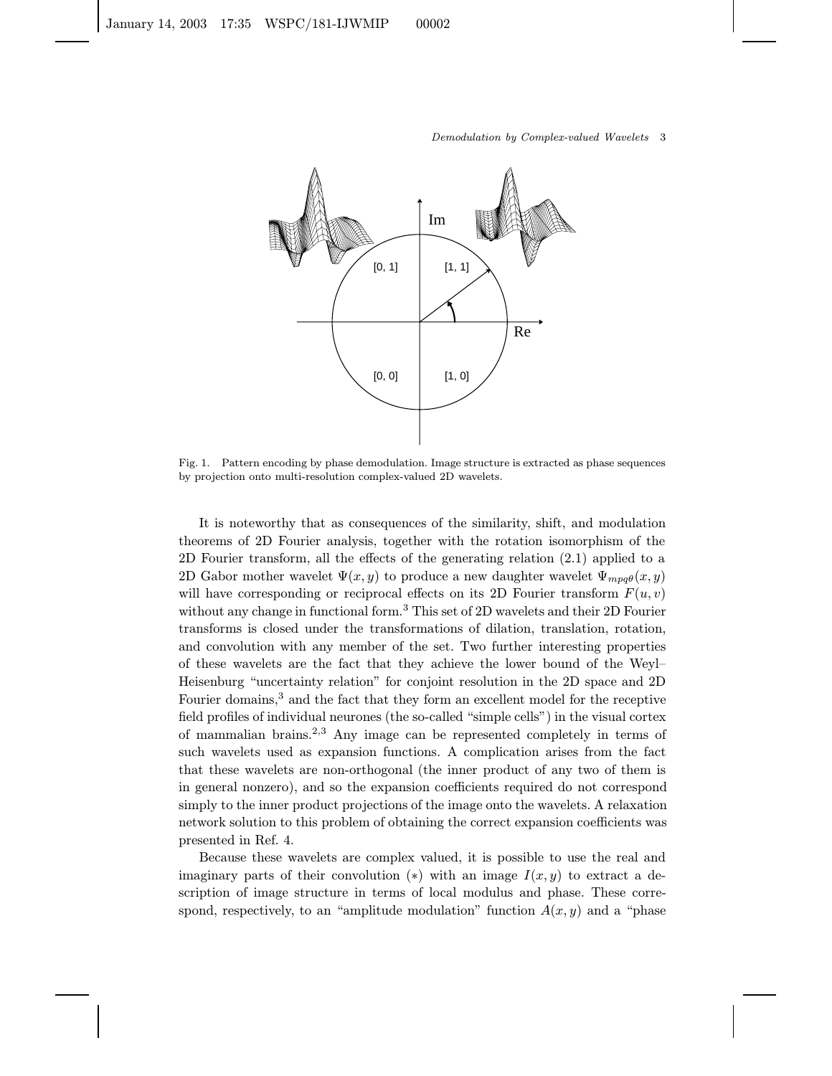

Fig. 1. Pattern encoding by phase demodulation. Image structure is extracted as phase sequences by projection onto multi-resolution complex-valued 2D wavelets.

It is noteworthy that as consequences of the similarity, shift, and modulation theorems of 2D Fourier analysis, together with the rotation isomorphism of the 2D Fourier transform, all the effects of the generating relation (2.1) applied to a 2D Gabor mother wavelet  $\Psi(x, y)$  to produce a new daughter wavelet  $\Psi_{mpq\theta}(x, y)$ will have corresponding or reciprocal effects on its 2D Fourier transform  $F(u, v)$ without any change in functional form.<sup>3</sup> This set of 2D wavelets and their 2D Fourier transforms is closed under the transformations of dilation, translation, rotation, and convolution with any member of the set. Two further interesting properties of these wavelets are the fact that they achieve the lower bound of the Weyl– Heisenburg "uncertainty relation" for conjoint resolution in the 2D space and 2D Fourier domains,<sup>3</sup> and the fact that they form an excellent model for the receptive field profiles of individual neurones (the so-called "simple cells") in the visual cortex of mammalian brains.<sup>2</sup>,<sup>3</sup> Any image can be represented completely in terms of such wavelets used as expansion functions. A complication arises from the fact that these wavelets are non-orthogonal (the inner product of any two of them is in general nonzero), and so the expansion coefficients required do not correspond simply to the inner product projections of the image onto the wavelets. A relaxation network solution to this problem of obtaining the correct expansion coefficients was presented in Ref. 4.

Because these wavelets are complex valued, it is possible to use the real and imaginary parts of their convolution  $(*)$  with an image  $I(x, y)$  to extract a description of image structure in terms of local modulus and phase. These correspond, respectively, to an "amplitude modulation" function  $A(x, y)$  and a "phase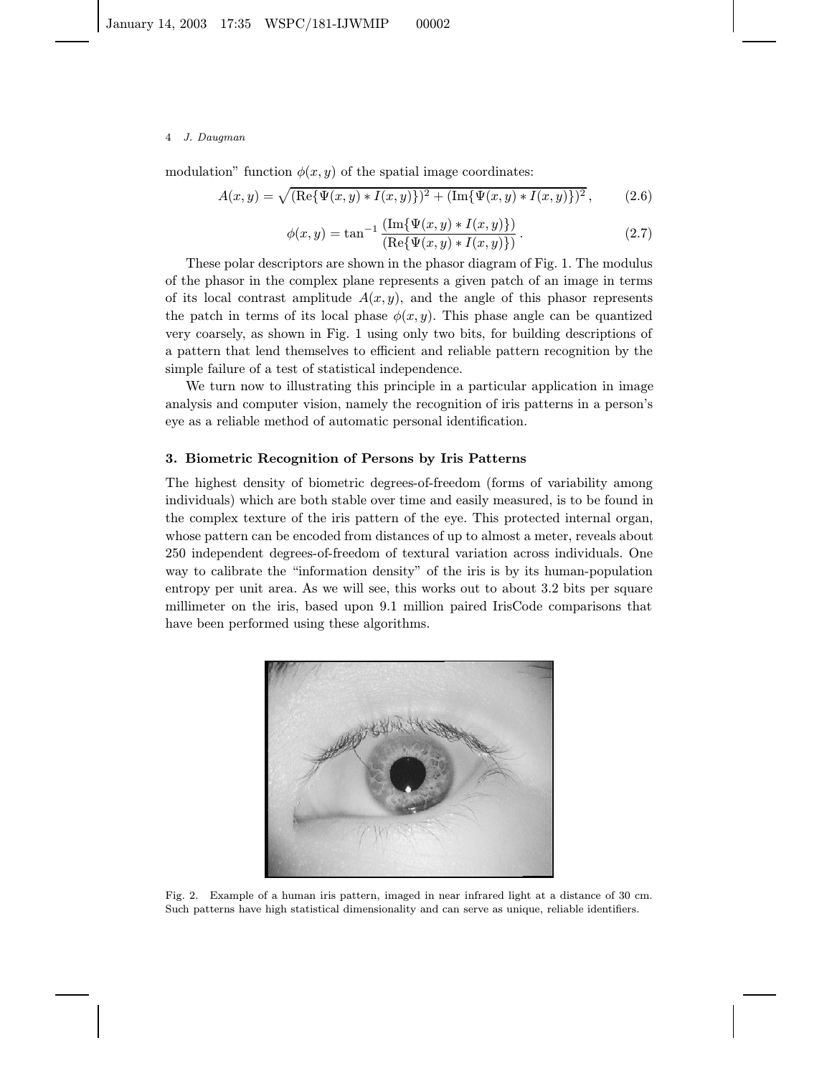modulation" function  $\phi(x, y)$  of the spatial image coordinates:

$$
A(x,y) = \sqrt{(\text{Re}\{\Psi(x,y) * I(x,y)\})^2 + (\text{Im}\{\Psi(x,y) * I(x,y)\})^2},\tag{2.6}
$$

$$
\phi(x,y) = \tan^{-1} \frac{\left(\text{Im}\{\Psi(x,y) * I(x,y)\}\right)}{\left(\text{Re}\{\Psi(x,y) * I(x,y)\}\right)}.
$$
\n(2.7)

These polar descriptors are shown in the phasor diagram of Fig. 1. The modulus of the phasor in the complex plane represents a given patch of an image in terms of its local contrast amplitude  $A(x, y)$ , and the angle of this phasor represents the patch in terms of its local phase  $\phi(x, y)$ . This phase angle can be quantized very coarsely, as shown in Fig. 1 using only two bits, for building descriptions of a pattern that lend themselves to efficient and reliable pattern recognition by the simple failure of a test of statistical independence.

We turn now to illustrating this principle in a particular application in image analysis and computer vision, namely the recognition of iris patterns in a person's eye as a reliable method of automatic personal identification.

#### 3. Biometric Recognition of Persons by Iris Patterns

The highest density of biometric degrees-of-freedom (forms of variability among individuals) which are both stable over time and easily measured, is to be found in the complex texture of the iris pattern of the eye. This protected internal organ, whose pattern can be encoded from distances of up to almost a meter, reveals about 250 independent degrees-of-freedom of textural variation across individuals. One way to calibrate the "information density" of the iris is by its human-population entropy per unit area. As we will see, this works out to about 3.2 bits per square millimeter on the iris, based upon 9.1 million paired IrisCode comparisons that have been performed using these algorithms.



Fig. 2. Example of a human iris pattern, imaged in near infrared light at a distance of 30 cm. Such patterns have high statistical dimensionality and can serve as unique, reliable identifiers.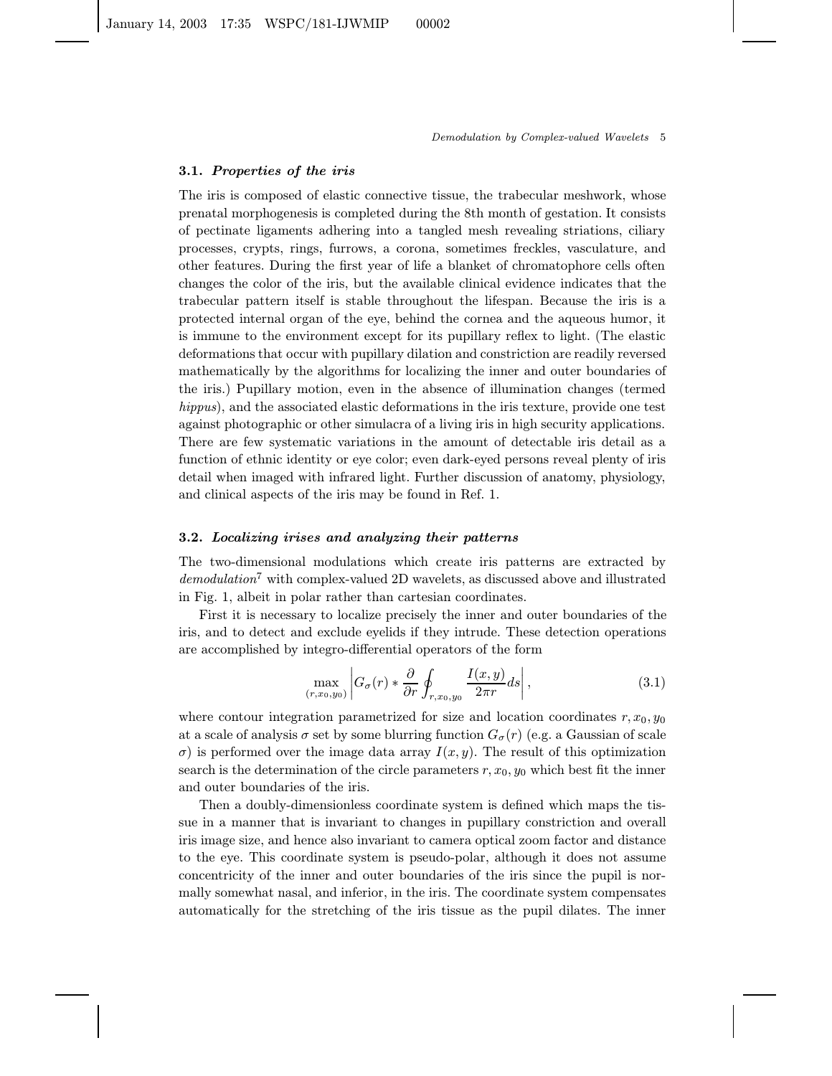### 3.1. Properties of the iris

The iris is composed of elastic connective tissue, the trabecular meshwork, whose prenatal morphogenesis is completed during the 8th month of gestation. It consists of pectinate ligaments adhering into a tangled mesh revealing striations, ciliary processes, crypts, rings, furrows, a corona, sometimes freckles, vasculature, and other features. During the first year of life a blanket of chromatophore cells often changes the color of the iris, but the available clinical evidence indicates that the trabecular pattern itself is stable throughout the lifespan. Because the iris is a protected internal organ of the eye, behind the cornea and the aqueous humor, it is immune to the environment except for its pupillary reflex to light. (The elastic deformations that occur with pupillary dilation and constriction are readily reversed mathematically by the algorithms for localizing the inner and outer boundaries of the iris.) Pupillary motion, even in the absence of illumination changes (termed hippus), and the associated elastic deformations in the iris texture, provide one test against photographic or other simulacra of a living iris in high security applications. There are few systematic variations in the amount of detectable iris detail as a function of ethnic identity or eye color; even dark-eyed persons reveal plenty of iris detail when imaged with infrared light. Further discussion of anatomy, physiology, and clinical aspects of the iris may be found in Ref. 1.

### 3.2. Localizing irises and analyzing their patterns

The two-dimensional modulations which create iris patterns are extracted by  $demodulation<sup>7</sup>$  with complex-valued 2D wavelets, as discussed above and illustrated in Fig. 1, albeit in polar rather than cartesian coordinates.

First it is necessary to localize precisely the inner and outer boundaries of the iris, and to detect and exclude eyelids if they intrude. These detection operations are accomplished by integro-differential operators of the form

$$
\max_{(r,x_0,y_0)} \left| G_\sigma(r) * \frac{\partial}{\partial r} \oint_{r,x_0,y_0} \frac{I(x,y)}{2\pi r} ds \right|,
$$
\n(3.1)

where contour integration parametrized for size and location coordinates  $r, x_0, y_0$ at a scale of analysis  $\sigma$  set by some blurring function  $G_{\sigma}(r)$  (e.g. a Gaussian of scale σ) is performed over the image data array  $I(x, y)$ . The result of this optimization search is the determination of the circle parameters  $r, x_0, y_0$  which best fit the inner and outer boundaries of the iris.

Then a doubly-dimensionless coordinate system is defined which maps the tissue in a manner that is invariant to changes in pupillary constriction and overall iris image size, and hence also invariant to camera optical zoom factor and distance to the eye. This coordinate system is pseudo-polar, although it does not assume concentricity of the inner and outer boundaries of the iris since the pupil is normally somewhat nasal, and inferior, in the iris. The coordinate system compensates automatically for the stretching of the iris tissue as the pupil dilates. The inner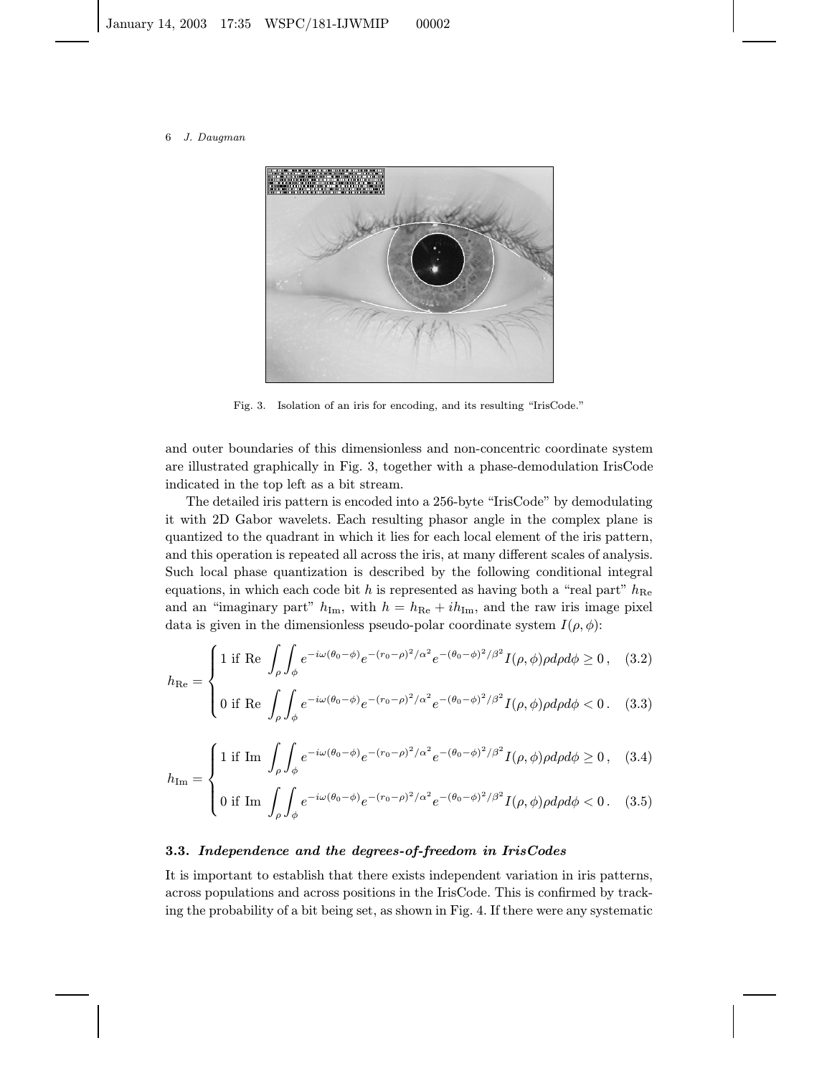

Fig. 3. Isolation of an iris for encoding, and its resulting "IrisCode."

and outer boundaries of this dimensionless and non-concentric coordinate system are illustrated graphically in Fig. 3, together with a phase-demodulation IrisCode indicated in the top left as a bit stream.

The detailed iris pattern is encoded into a 256-byte "IrisCode" by demodulating it with 2D Gabor wavelets. Each resulting phasor angle in the complex plane is quantized to the quadrant in which it lies for each local element of the iris pattern, and this operation is repeated all across the iris, at many different scales of analysis. Such local phase quantization is described by the following conditional integral equations, in which each code bit h is represented as having both a "real part"  $h_{\text{Re}}$ and an "imaginary part"  $h_{\text{Im}}$ , with  $h = h_{\text{Re}} + ih_{\text{Im}}$ , and the raw iris image pixel data is given in the dimensionless pseudo-polar coordinate system  $I(\rho, \phi)$ :

$$
h_{\text{Re}} = \begin{cases} 1 \text{ if } \text{Re} \int_{\rho} \int_{\phi} e^{-i\omega(\theta_0 - \phi)} e^{-(r_0 - \rho)^2/\alpha^2} e^{-(\theta_0 - \phi)^2/\beta^2} I(\rho, \phi) \rho d\rho d\phi \ge 0, \quad (3.2) \end{cases}
$$

$$
\text{Let } \int_{\rho} \int_{\phi} e^{-i\omega(\theta_0 - \phi)} e^{-(r_0 - \rho)^2/\alpha^2} e^{-(\theta_0 - \phi)^2/\beta^2} I(\rho, \phi) \rho d\rho d\phi < 0. \quad (3.3)
$$

$$
h_{\text{Im}} = \begin{cases} 1 \text{ if Im } \int_{\rho} \int_{\phi} e^{-i\omega(\theta_0 - \phi)} e^{-(r_0 - \rho)^2/\alpha^2} e^{-(\theta_0 - \phi)^2/\beta^2} I(\rho, \phi) \rho d\rho d\phi \ge 0, & (3.4) \end{cases}
$$

$$
\left(0 \text{ if } \text{Im} \int_{\rho} \int_{\phi} e^{-i\omega(\theta_0 - \phi)} e^{-(r_0 - \rho)^2/\alpha^2} e^{-(\theta_0 - \phi)^2/\beta^2} I(\rho, \phi) \rho d\rho d\phi < 0. \quad (3.5)\right)
$$

## 3.3. Independence and the degrees-of-freedom in IrisCodes

It is important to establish that there exists independent variation in iris patterns, across populations and across positions in the IrisCode. This is confirmed by tracking the probability of a bit being set, as shown in Fig. 4. If there were any systematic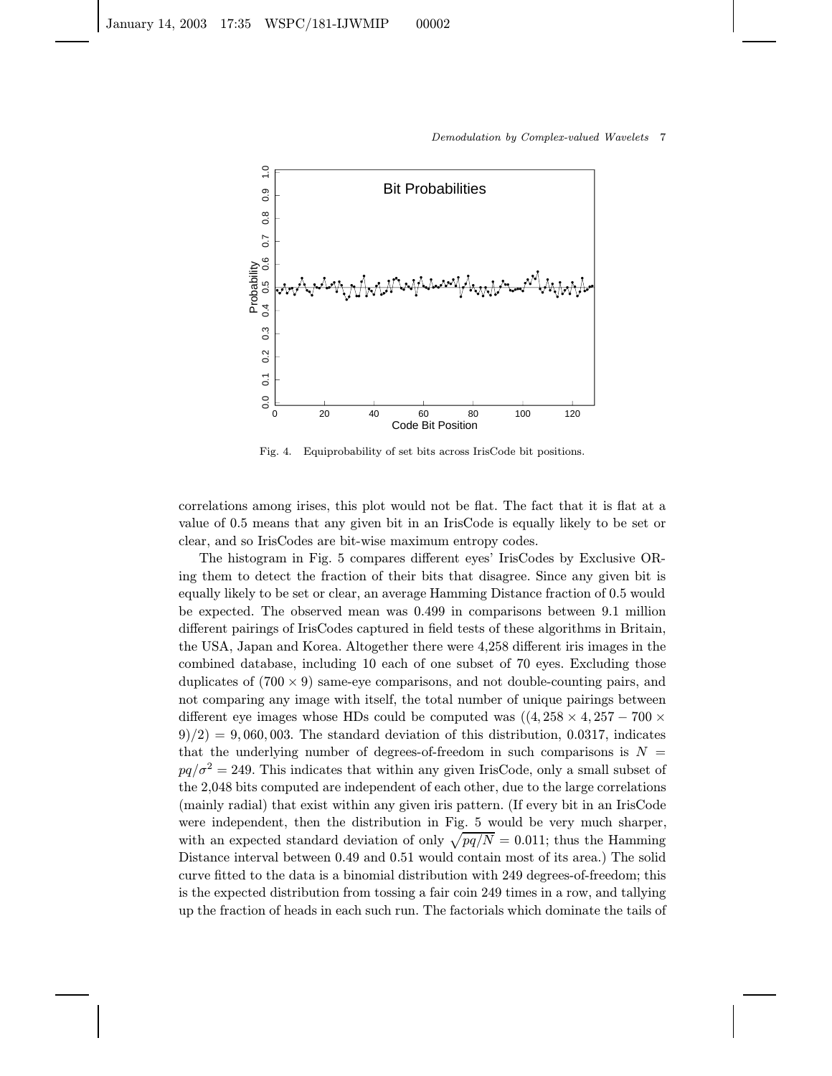

Demodulation by Complex-valued Wavelets 7

Fig. 4. Equiprobability of set bits across IrisCode bit positions.

correlations among irises, this plot would not be flat. The fact that it is flat at a value of 0.5 means that any given bit in an IrisCode is equally likely to be set or clear, and so IrisCodes are bit-wise maximum entropy codes.

The histogram in Fig. 5 compares different eyes' IrisCodes by Exclusive ORing them to detect the fraction of their bits that disagree. Since any given bit is equally likely to be set or clear, an average Hamming Distance fraction of 0.5 would be expected. The observed mean was 0.499 in comparisons between 9.1 million different pairings of IrisCodes captured in field tests of these algorithms in Britain, the USA, Japan and Korea. Altogether there were 4,258 different iris images in the combined database, including 10 each of one subset of 70 eyes. Excluding those duplicates of  $(700 \times 9)$  same-eve comparisons, and not double-counting pairs, and not comparing any image with itself, the total number of unique pairings between different eye images whose HDs could be computed was  $((4, 258 \times 4, 257 - 700 \times$  $9/2$  = 9,060,003. The standard deviation of this distribution, 0.0317, indicates that the underlying number of degrees-of-freedom in such comparisons is  $N =$  $pq/\sigma^2 = 249$ . This indicates that within any given IrisCode, only a small subset of the 2,048 bits computed are independent of each other, due to the large correlations (mainly radial) that exist within any given iris pattern. (If every bit in an IrisCode were independent, then the distribution in Fig. 5 would be very much sharper, with an expected standard deviation of only  $\sqrt{pq/N} = 0.011$ ; thus the Hamming Distance interval between 0.49 and 0.51 would contain most of its area.) The solid curve fitted to the data is a binomial distribution with 249 degrees-of-freedom; this is the expected distribution from tossing a fair coin 249 times in a row, and tallying up the fraction of heads in each such run. The factorials which dominate the tails of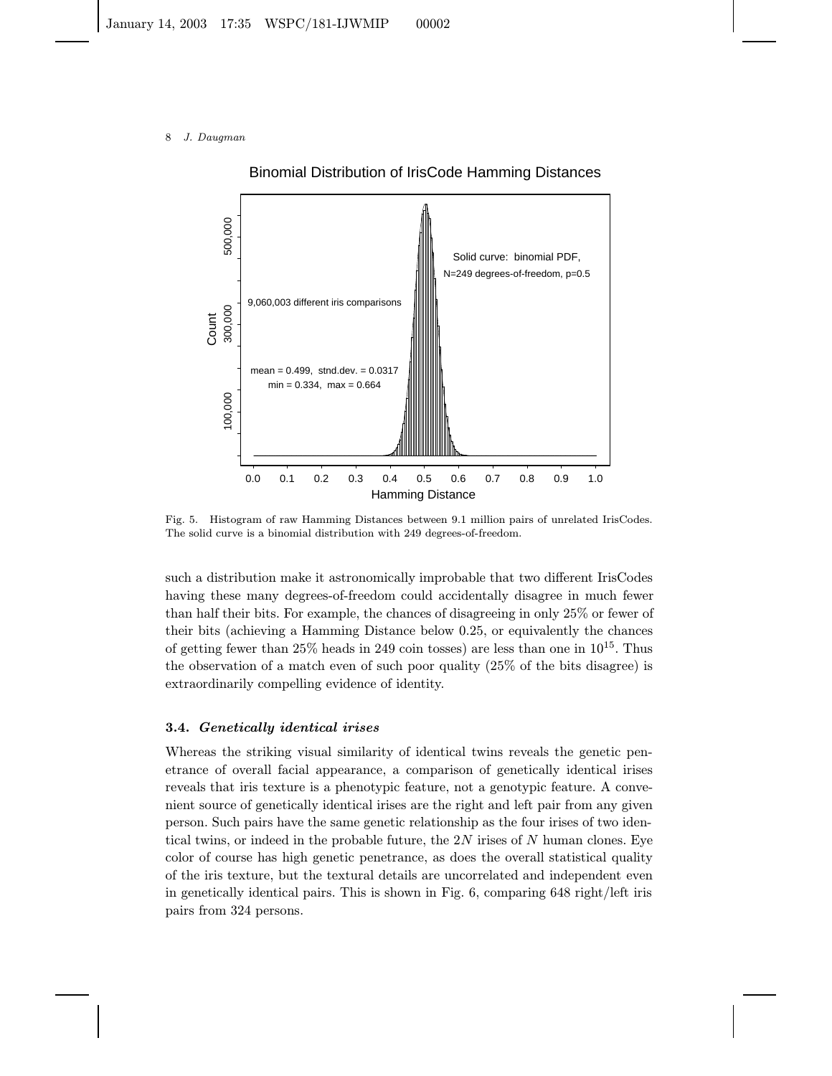

Fig. 5. Histogram of raw Hamming Distances between 9.1 million pairs of unrelated IrisCodes. The solid curve is a binomial distribution with 249 degrees-of-freedom.

such a distribution make it astronomically improbable that two different IrisCodes having these many degrees-of-freedom could accidentally disagree in much fewer than half their bits. For example, the chances of disagreeing in only 25% or fewer of their bits (achieving a Hamming Distance below 0.25, or equivalently the chances of getting fewer than  $25\%$  heads in 249 coin tosses) are less than one in  $10^{15}$ . Thus the observation of a match even of such poor quality (25% of the bits disagree) is extraordinarily compelling evidence of identity.

#### 3.4. Genetically identical irises

Whereas the striking visual similarity of identical twins reveals the genetic penetrance of overall facial appearance, a comparison of genetically identical irises reveals that iris texture is a phenotypic feature, not a genotypic feature. A convenient source of genetically identical irises are the right and left pair from any given person. Such pairs have the same genetic relationship as the four irises of two identical twins, or indeed in the probable future, the  $2N$  irises of N human clones. Eye color of course has high genetic penetrance, as does the overall statistical quality of the iris texture, but the textural details are uncorrelated and independent even in genetically identical pairs. This is shown in Fig. 6, comparing 648 right/left iris pairs from 324 persons.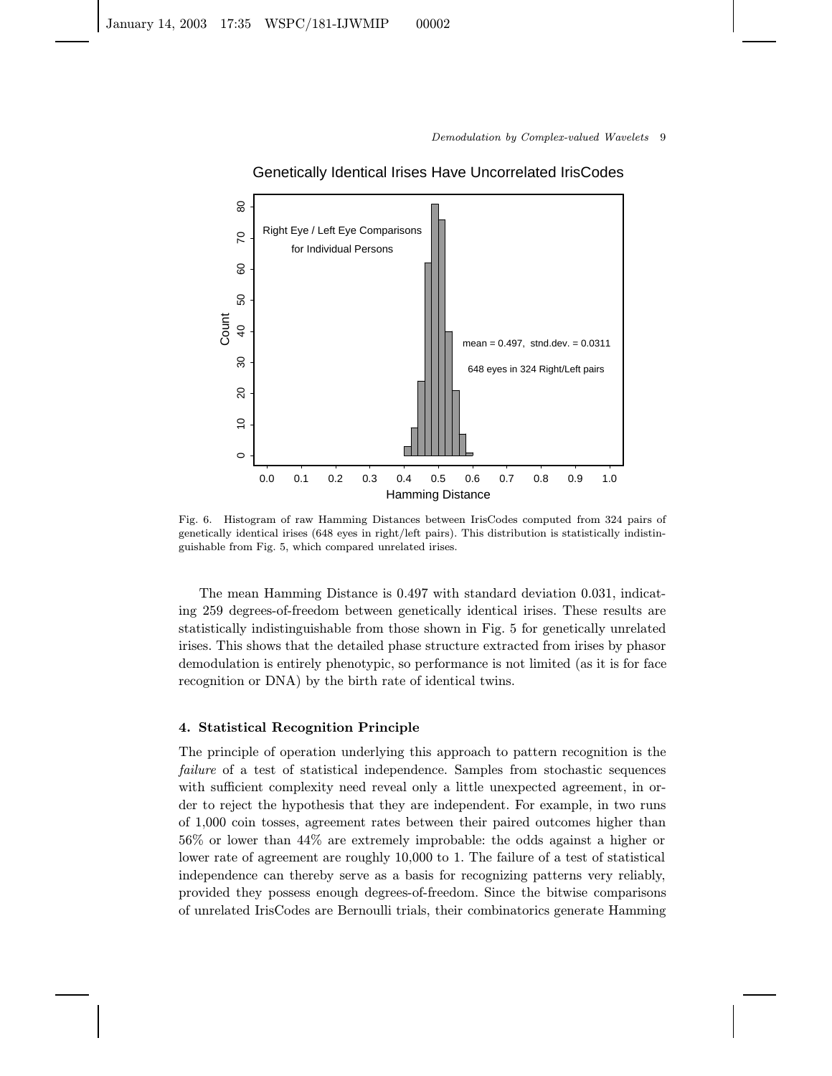Genetically Identical Irises Have Uncorrelated IrisCodes



Fig. 6. Histogram of raw Hamming Distances between IrisCodes computed from 324 pairs of genetically identical irises (648 eyes in right/left pairs). This distribution is statistically indistinguishable from Fig. 5, which compared unrelated irises.

The mean Hamming Distance is 0.497 with standard deviation 0.031, indicating 259 degrees-of-freedom between genetically identical irises. These results are statistically indistinguishable from those shown in Fig. 5 for genetically unrelated irises. This shows that the detailed phase structure extracted from irises by phasor demodulation is entirely phenotypic, so performance is not limited (as it is for face recognition or DNA) by the birth rate of identical twins.

### 4. Statistical Recognition Principle

The principle of operation underlying this approach to pattern recognition is the failure of a test of statistical independence. Samples from stochastic sequences with sufficient complexity need reveal only a little unexpected agreement, in order to reject the hypothesis that they are independent. For example, in two runs of 1,000 coin tosses, agreement rates between their paired outcomes higher than 56% or lower than 44% are extremely improbable: the odds against a higher or lower rate of agreement are roughly 10,000 to 1. The failure of a test of statistical independence can thereby serve as a basis for recognizing patterns very reliably, provided they possess enough degrees-of-freedom. Since the bitwise comparisons of unrelated IrisCodes are Bernoulli trials, their combinatorics generate Hamming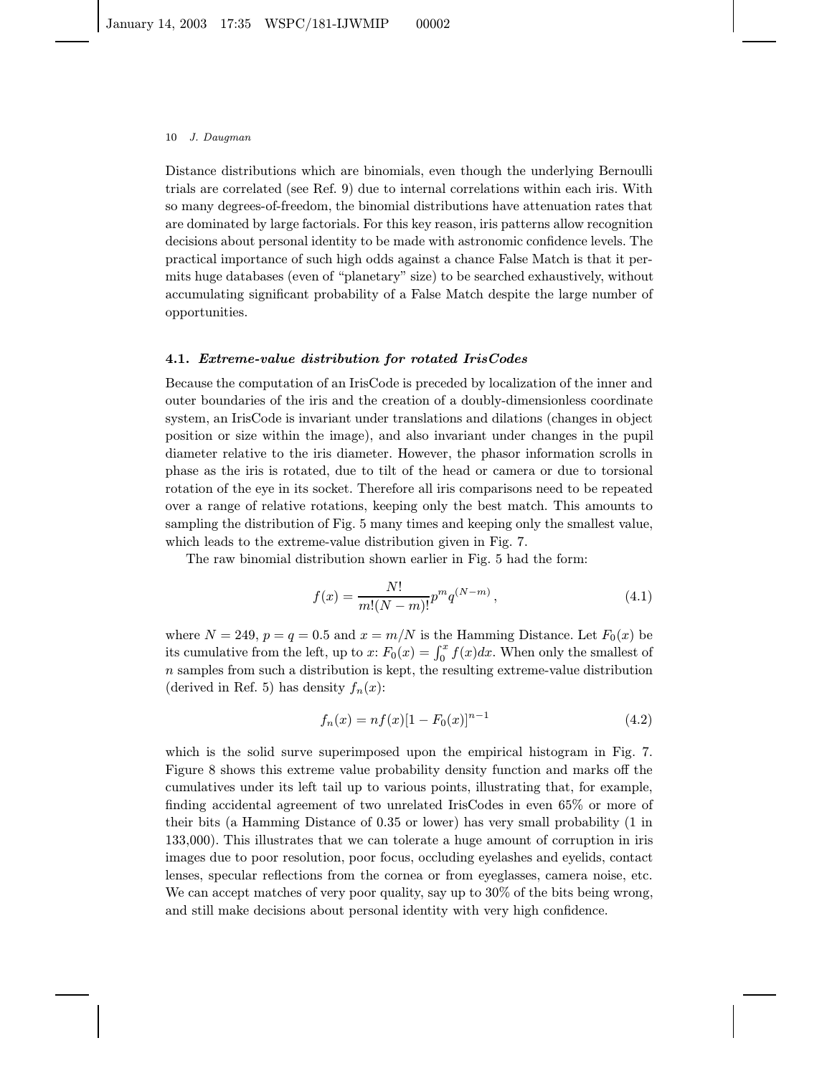Distance distributions which are binomials, even though the underlying Bernoulli trials are correlated (see Ref. 9) due to internal correlations within each iris. With so many degrees-of-freedom, the binomial distributions have attenuation rates that are dominated by large factorials. For this key reason, iris patterns allow recognition decisions about personal identity to be made with astronomic confidence levels. The practical importance of such high odds against a chance False Match is that it permits huge databases (even of "planetary" size) to be searched exhaustively, without accumulating significant probability of a False Match despite the large number of opportunities.

### 4.1. Extreme-value distribution for rotated IrisCodes

Because the computation of an IrisCode is preceded by localization of the inner and outer boundaries of the iris and the creation of a doubly-dimensionless coordinate system, an IrisCode is invariant under translations and dilations (changes in object position or size within the image), and also invariant under changes in the pupil diameter relative to the iris diameter. However, the phasor information scrolls in phase as the iris is rotated, due to tilt of the head or camera or due to torsional rotation of the eye in its socket. Therefore all iris comparisons need to be repeated over a range of relative rotations, keeping only the best match. This amounts to sampling the distribution of Fig. 5 many times and keeping only the smallest value, which leads to the extreme-value distribution given in Fig. 7.

The raw binomial distribution shown earlier in Fig. 5 had the form:

$$
f(x) = \frac{N!}{m!(N-m)!} p^m q^{(N-m)},
$$
\n(4.1)

where  $N = 249$ ,  $p = q = 0.5$  and  $x = m/N$  is the Hamming Distance. Let  $F_0(x)$  be its cumulative from the left, up to  $x$ :  $F_0(x) = \int_0^x f(x)dx$ . When only the smallest of  $n$  samples from such a distribution is kept, the resulting extreme-value distribution (derived in Ref. 5) has density  $f_n(x)$ :

$$
f_n(x) = nf(x)[1 - F_0(x)]^{n-1}
$$
\n(4.2)

which is the solid surve superimposed upon the empirical histogram in Fig. 7. Figure 8 shows this extreme value probability density function and marks off the cumulatives under its left tail up to various points, illustrating that, for example, finding accidental agreement of two unrelated IrisCodes in even 65% or more of their bits (a Hamming Distance of 0.35 or lower) has very small probability (1 in 133,000). This illustrates that we can tolerate a huge amount of corruption in iris images due to poor resolution, poor focus, occluding eyelashes and eyelids, contact lenses, specular reflections from the cornea or from eyeglasses, camera noise, etc. We can accept matches of very poor quality, say up to 30% of the bits being wrong, and still make decisions about personal identity with very high confidence.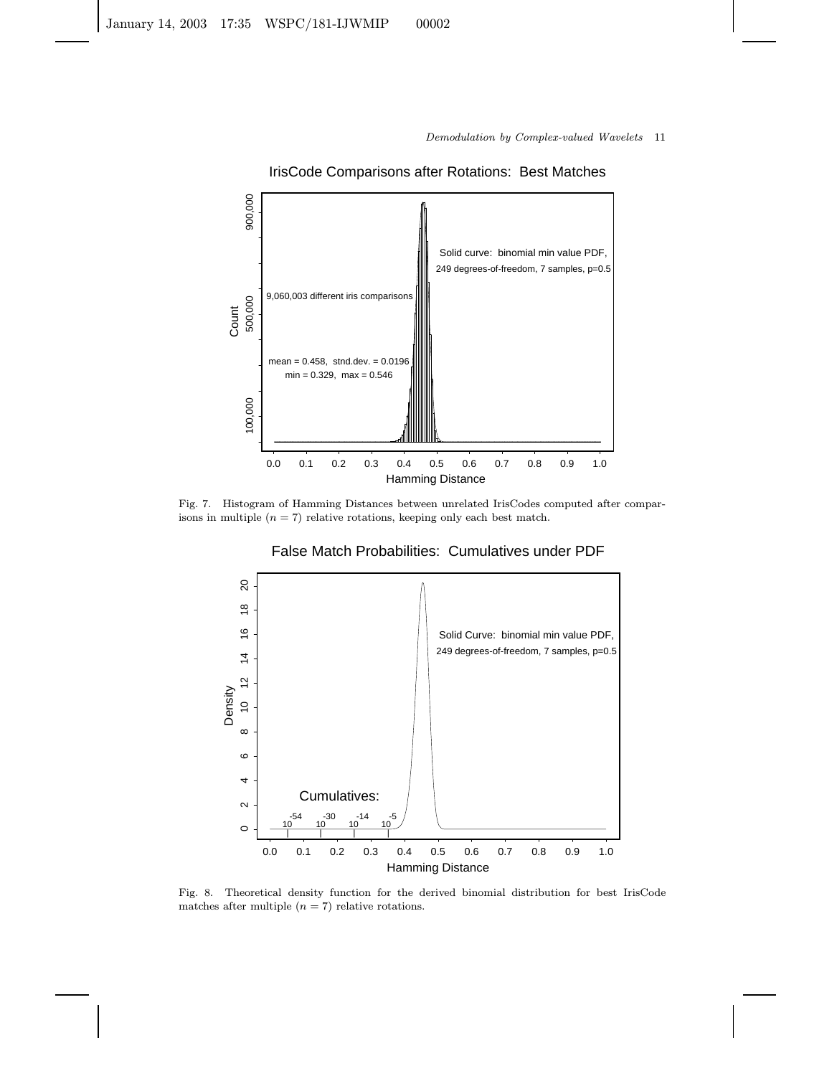

Fig. 7. Histogram of Hamming Distances between unrelated IrisCodes computed after comparisons in multiple  $(n = 7)$  relative rotations, keeping only each best match.



False Match Probabilities: Cumulatives under PDF

Fig. 8. Theoretical density function for the derived binomial distribution for best IrisCode matches after multiple  $(n = 7)$  relative rotations.

### IrisCode Comparisons after Rotations: Best Matches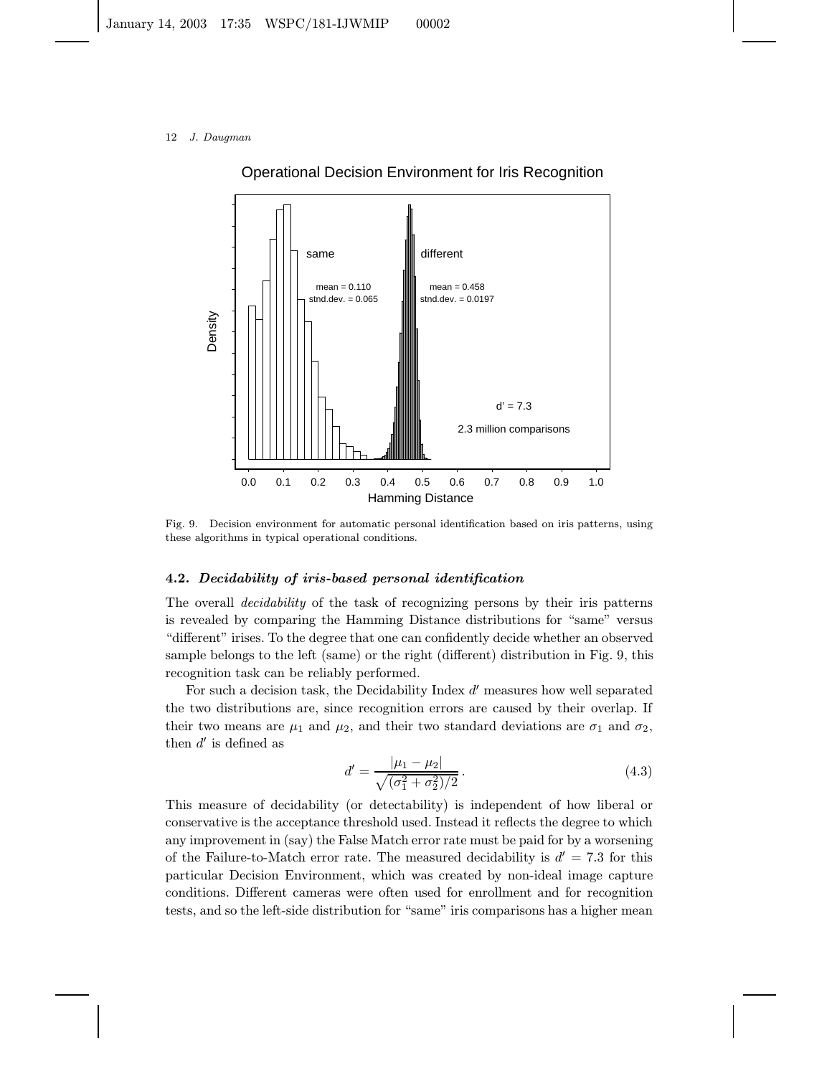

Operational Decision Environment for Iris Recognition

Fig. 9. Decision environment for automatic personal identification based on iris patterns, using these algorithms in typical operational conditions.

### 4.2. Decidability of iris-based personal identification

The overall decidability of the task of recognizing persons by their iris patterns is revealed by comparing the Hamming Distance distributions for "same" versus "different" irises. To the degree that one can confidently decide whether an observed sample belongs to the left (same) or the right (different) distribution in Fig. 9, this recognition task can be reliably performed.

For such a decision task, the Decidability Index  $d'$  measures how well separated the two distributions are, since recognition errors are caused by their overlap. If their two means are  $\mu_1$  and  $\mu_2$ , and their two standard deviations are  $\sigma_1$  and  $\sigma_2$ , then  $d'$  is defined as

$$
d' = \frac{|\mu_1 - \mu_2|}{\sqrt{(\sigma_1^2 + \sigma_2^2)/2}}.
$$
\n(4.3)

This measure of decidability (or detectability) is independent of how liberal or conservative is the acceptance threshold used. Instead it reflects the degree to which any improvement in (say) the False Match error rate must be paid for by a worsening of the Failure-to-Match error rate. The measured decidability is  $d' = 7.3$  for this particular Decision Environment, which was created by non-ideal image capture conditions. Different cameras were often used for enrollment and for recognition tests, and so the left-side distribution for "same" iris comparisons has a higher mean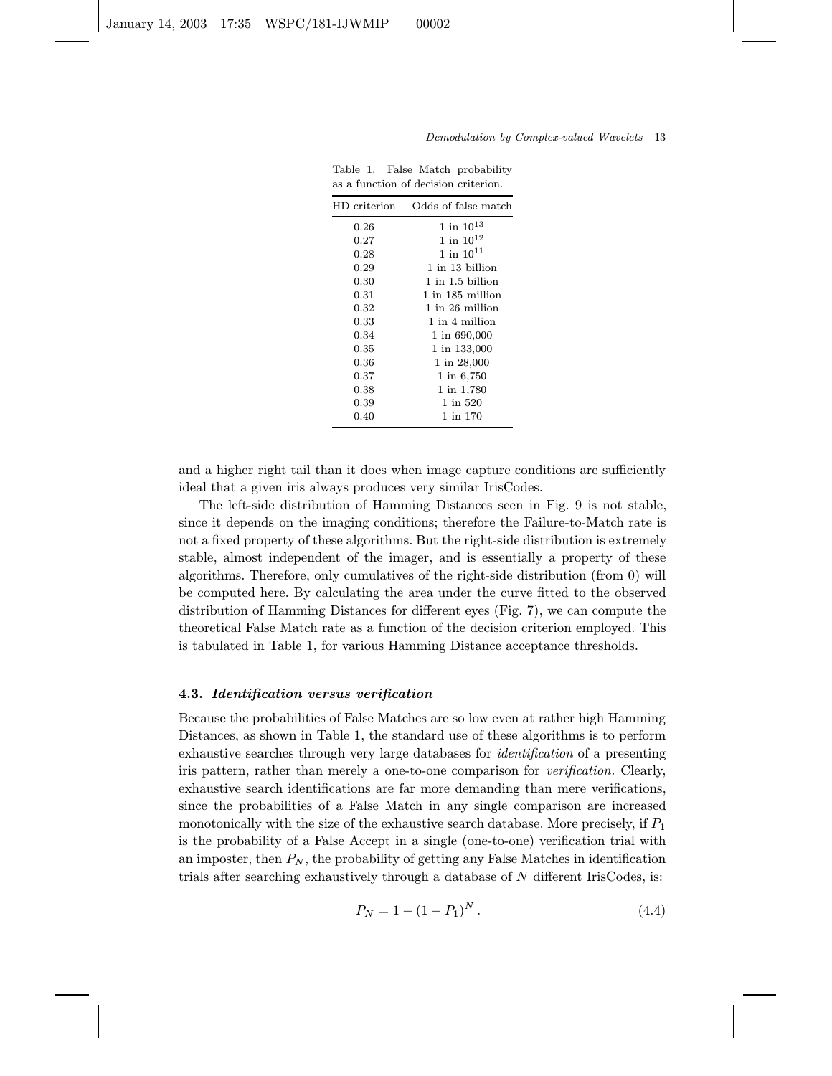| HD criterion | Odds of false match     |
|--------------|-------------------------|
| ${0.26}$     | $1$ in $10^{13}$        |
| $0.27\,$     | $1 \text{ in } 10^{12}$ |
| 0.28         | $1 \text{ in } 10^{11}$ |
| 0.29         | 1 in 13 billion         |
| 0.30         | $1$ in $1.5$ billion    |
| 0.31         | 1 in 185 million        |
| 0.32         | 1 in 26 million         |
| $\rm 0.33$   | 1 in 4 million          |
| 0.34         | 1 in 690,000            |
| $\rm 0.35$   | 1 in 133,000            |
| ${0.36}$     | 1 in 28,000             |
| 0.37         | $1$ in 6,750            |
| 0.38         | 1 in 1,780              |
| 0.39         | $1$ in $520$            |
| 0.40         | 1 in 170                |

Demodulation by Complex-valued Wavelets 13

Table 1. False Match probability as a function of decision criterion.

and a higher right tail than it does when image capture conditions are sufficiently ideal that a given iris always produces very similar IrisCodes.

The left-side distribution of Hamming Distances seen in Fig. 9 is not stable, since it depends on the imaging conditions; therefore the Failure-to-Match rate is not a fixed property of these algorithms. But the right-side distribution is extremely stable, almost independent of the imager, and is essentially a property of these algorithms. Therefore, only cumulatives of the right-side distribution (from 0) will be computed here. By calculating the area under the curve fitted to the observed distribution of Hamming Distances for different eyes (Fig. 7), we can compute the theoretical False Match rate as a function of the decision criterion employed. This is tabulated in Table 1, for various Hamming Distance acceptance thresholds.

#### 4.3. Identification versus verification

Because the probabilities of False Matches are so low even at rather high Hamming Distances, as shown in Table 1, the standard use of these algorithms is to perform exhaustive searches through very large databases for identification of a presenting iris pattern, rather than merely a one-to-one comparison for verification. Clearly, exhaustive search identifications are far more demanding than mere verifications, since the probabilities of a False Match in any single comparison are increased monotonically with the size of the exhaustive search database. More precisely, if  $P_1$ is the probability of a False Accept in a single (one-to-one) verification trial with an imposter, then  $P_N$ , the probability of getting any False Matches in identification trials after searching exhaustively through a database of N different IrisCodes, is:

$$
P_N = 1 - (1 - P_1)^N. \tag{4.4}
$$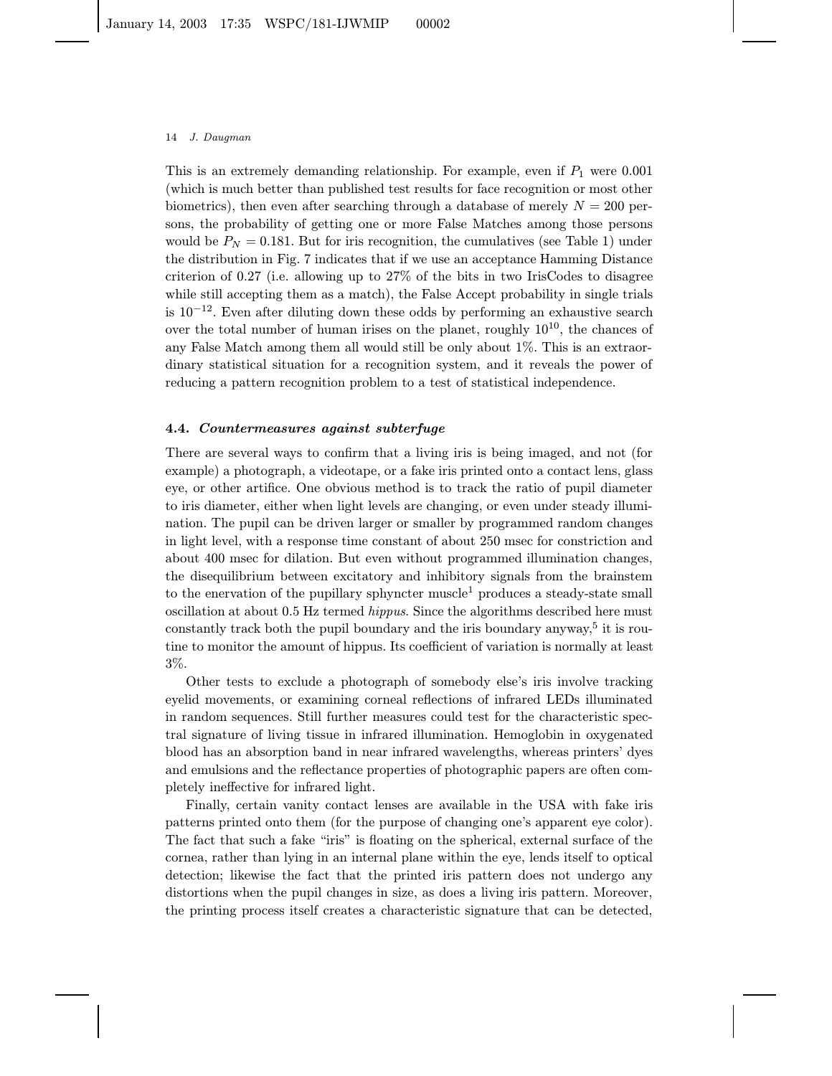This is an extremely demanding relationship. For example, even if  $P_1$  were 0.001 (which is much better than published test results for face recognition or most other biometrics), then even after searching through a database of merely  $N = 200$  persons, the probability of getting one or more False Matches among those persons would be  $P_N = 0.181$ . But for iris recognition, the cumulatives (see Table 1) under the distribution in Fig. 7 indicates that if we use an acceptance Hamming Distance criterion of 0.27 (i.e. allowing up to 27% of the bits in two IrisCodes to disagree while still accepting them as a match), the False Accept probability in single trials is  $10^{-12}$ . Even after diluting down these odds by performing an exhaustive search over the total number of human irises on the planet, roughly  $10^{10}$ , the chances of any False Match among them all would still be only about 1%. This is an extraordinary statistical situation for a recognition system, and it reveals the power of reducing a pattern recognition problem to a test of statistical independence.

#### 4.4. Countermeasures against subterfuge

There are several ways to confirm that a living iris is being imaged, and not (for example) a photograph, a videotape, or a fake iris printed onto a contact lens, glass eye, or other artifice. One obvious method is to track the ratio of pupil diameter to iris diameter, either when light levels are changing, or even under steady illumination. The pupil can be driven larger or smaller by programmed random changes in light level, with a response time constant of about 250 msec for constriction and about 400 msec for dilation. But even without programmed illumination changes, the disequilibrium between excitatory and inhibitory signals from the brainstem to the enervation of the pupillary sphyncter muscle<sup>1</sup> produces a steady-state small oscillation at about 0.5 Hz termed hippus. Since the algorithms described here must constantly track both the pupil boundary and the iris boundary anyway,<sup>5</sup> it is routine to monitor the amount of hippus. Its coefficient of variation is normally at least 3%.

Other tests to exclude a photograph of somebody else's iris involve tracking eyelid movements, or examining corneal reflections of infrared LEDs illuminated in random sequences. Still further measures could test for the characteristic spectral signature of living tissue in infrared illumination. Hemoglobin in oxygenated blood has an absorption band in near infrared wavelengths, whereas printers' dyes and emulsions and the reflectance properties of photographic papers are often completely ineffective for infrared light.

Finally, certain vanity contact lenses are available in the USA with fake iris patterns printed onto them (for the purpose of changing one's apparent eye color). The fact that such a fake "iris" is floating on the spherical, external surface of the cornea, rather than lying in an internal plane within the eye, lends itself to optical detection; likewise the fact that the printed iris pattern does not undergo any distortions when the pupil changes in size, as does a living iris pattern. Moreover, the printing process itself creates a characteristic signature that can be detected,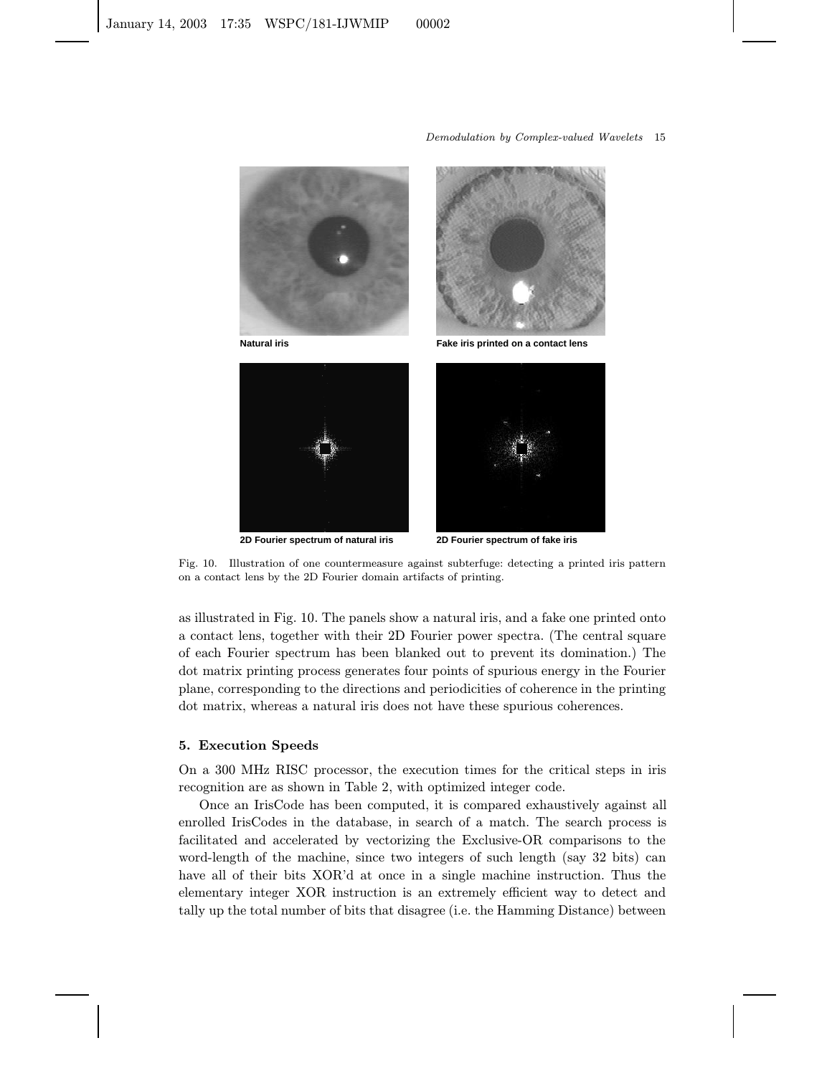

Demodulation by Complex-valued Wavelets 15

Fig. 10. Illustration of one countermeasure against subterfuge: detecting a printed iris pattern on a contact lens by the 2D Fourier domain artifacts of printing.

as illustrated in Fig. 10. The panels show a natural iris, and a fake one printed onto a contact lens, together with their 2D Fourier power spectra. (The central square of each Fourier spectrum has been blanked out to prevent its domination.) The dot matrix printing process generates four points of spurious energy in the Fourier plane, corresponding to the directions and periodicities of coherence in the printing dot matrix, whereas a natural iris does not have these spurious coherences.

#### 5. Execution Speeds

On a 300 MHz RISC processor, the execution times for the critical steps in iris recognition are as shown in Table 2, with optimized integer code.

Once an IrisCode has been computed, it is compared exhaustively against all enrolled IrisCodes in the database, in search of a match. The search process is facilitated and accelerated by vectorizing the Exclusive-OR comparisons to the word-length of the machine, since two integers of such length (say 32 bits) can have all of their bits XOR'd at once in a single machine instruction. Thus the elementary integer XOR instruction is an extremely efficient way to detect and tally up the total number of bits that disagree (i.e. the Hamming Distance) between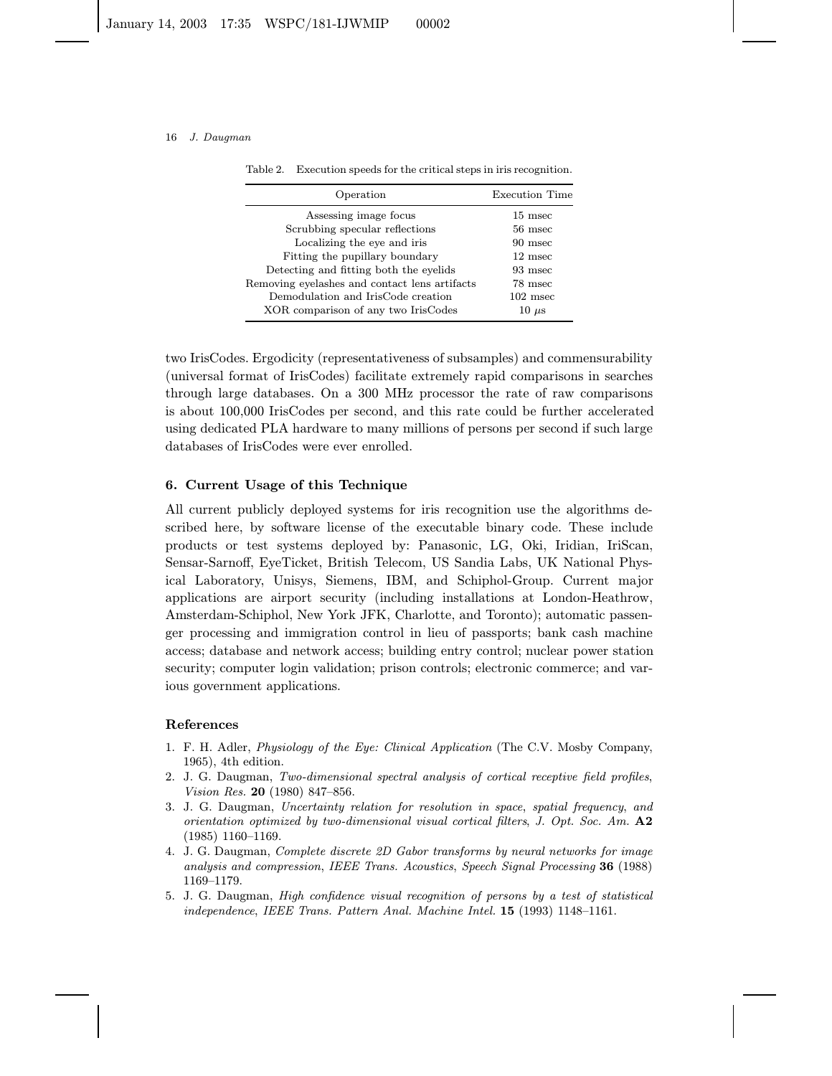| Operation                                     | <b>Execution Time</b> |
|-----------------------------------------------|-----------------------|
| Assessing image focus                         | 15 msec               |
| Scrubbing specular reflections                | $56$ msec             |
| Localizing the eye and iris                   | 90 msec               |
| Fitting the pupillary boundary                | 12 msec               |
| Detecting and fitting both the eyelids        | 93 msec               |
| Removing eyelashes and contact lens artifacts | 78 msec               |
| Demodulation and IrisCode creation            | $102$ msec            |
| XOR comparison of any two IrisCodes           | $10 \mu s$            |
|                                               |                       |

Table 2. Execution speeds for the critical steps in iris recognition.

two IrisCodes. Ergodicity (representativeness of subsamples) and commensurability (universal format of IrisCodes) facilitate extremely rapid comparisons in searches through large databases. On a 300 MHz processor the rate of raw comparisons is about 100,000 IrisCodes per second, and this rate could be further accelerated using dedicated PLA hardware to many millions of persons per second if such large databases of IrisCodes were ever enrolled.

### 6. Current Usage of this Technique

All current publicly deployed systems for iris recognition use the algorithms described here, by software license of the executable binary code. These include products or test systems deployed by: Panasonic, LG, Oki, Iridian, IriScan, Sensar-Sarnoff, EyeTicket, British Telecom, US Sandia Labs, UK National Physical Laboratory, Unisys, Siemens, IBM, and Schiphol-Group. Current major applications are airport security (including installations at London-Heathrow, Amsterdam-Schiphol, New York JFK, Charlotte, and Toronto); automatic passenger processing and immigration control in lieu of passports; bank cash machine access; database and network access; building entry control; nuclear power station security; computer login validation; prison controls; electronic commerce; and various government applications.

### References

- 1. F. H. Adler, Physiology of the Eye: Clinical Application (The C.V. Mosby Company, 1965), 4th edition.
- 2. J. G. Daugman, Two-dimensional spectral analysis of cortical receptive field profiles, Vision Res. 20 (1980) 847–856.
- 3. J. G. Daugman, Uncertainty relation for resolution in space, spatial frequency, and orientation optimized by two-dimensional visual cortical filters, J. Opt. Soc. Am.  $\mathbf{A2}$ (1985) 1160–1169.
- 4. J. G. Daugman, Complete discrete 2D Gabor transforms by neural networks for image analysis and compression, IEEE Trans. Acoustics, Speech Signal Processing 36 (1988) 1169–1179.
- 5. J. G. Daugman, High confidence visual recognition of persons by a test of statistical independence, IEEE Trans. Pattern Anal. Machine Intel. 15 (1993) 1148–1161.